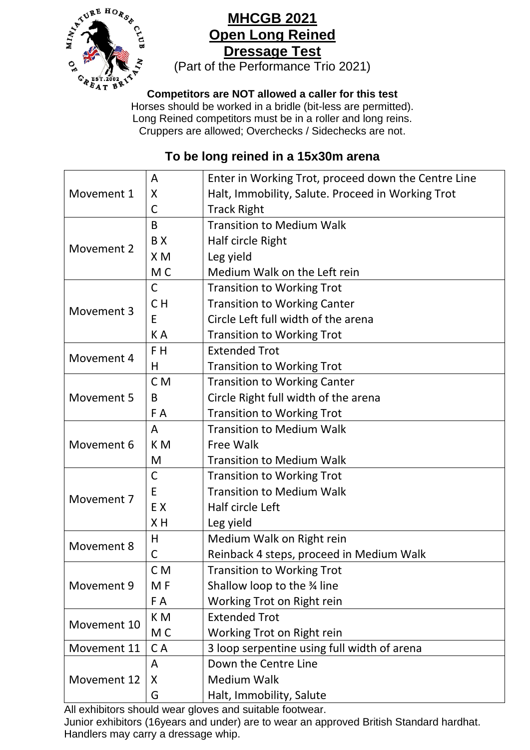

## **MHCGB 2021 Open Long Reined Dressage Test**

(Part of the Performance Trio 2021)

## **Competitors are NOT allowed a caller for this test**

Horses should be worked in a bridle (bit-less are permitted). Long Reined competitors must be in a roller and long reins. Cruppers are allowed; Overchecks / Sidechecks are not.

## **To be long reined in a 15x30m arena**

|             | A              | Enter in Working Trot, proceed down the Centre Line |
|-------------|----------------|-----------------------------------------------------|
| Movement 1  | X              | Halt, Immobility, Salute. Proceed in Working Trot   |
|             | С              | <b>Track Right</b>                                  |
| Movement 2  | B              | <b>Transition to Medium Walk</b>                    |
|             | BX             | Half circle Right                                   |
|             | X <sub>M</sub> | Leg yield                                           |
|             | M <sub>C</sub> | Medium Walk on the Left rein                        |
| Movement 3  | $\mathsf{C}$   | <b>Transition to Working Trot</b>                   |
|             | C <sub>H</sub> | <b>Transition to Working Canter</b>                 |
|             | E              | Circle Left full width of the arena                 |
|             | KA             | <b>Transition to Working Trot</b>                   |
| Movement 4  | F <sub>H</sub> | <b>Extended Trot</b>                                |
|             | н              | <b>Transition to Working Trot</b>                   |
| Movement 5  | C <sub>M</sub> | <b>Transition to Working Canter</b>                 |
|             | B              | Circle Right full width of the arena                |
|             | F A            | <b>Transition to Working Trot</b>                   |
| Movement 6  | A              | <b>Transition to Medium Walk</b>                    |
|             | K <sub>M</sub> | <b>Free Walk</b>                                    |
|             | M              | <b>Transition to Medium Walk</b>                    |
| Movement 7  | C              | <b>Transition to Working Trot</b>                   |
|             | E              | <b>Transition to Medium Walk</b>                    |
|             | EX             | Half circle Left                                    |
|             | XH             | Leg yield                                           |
| Movement 8  | H              | Medium Walk on Right rein                           |
|             | С              | Reinback 4 steps, proceed in Medium Walk            |
| Movement 9  | C <sub>M</sub> | <b>Transition to Working Trot</b>                   |
|             | M F            | Shallow loop to the 34 line                         |
|             | F A            | Working Trot on Right rein                          |
| Movement 10 | K M            | <b>Extended Trot</b>                                |
|             | M <sub>C</sub> | Working Trot on Right rein                          |
| Movement 11 | CA             | 3 loop serpentine using full width of arena         |
| Movement 12 | A              | Down the Centre Line                                |
|             | X              | <b>Medium Walk</b>                                  |
|             | G              | Halt, Immobility, Salute                            |

All exhibitors should wear gloves and suitable footwear.

Junior exhibitors (16years and under) are to wear an approved British Standard hardhat. Handlers may carry a dressage whip.